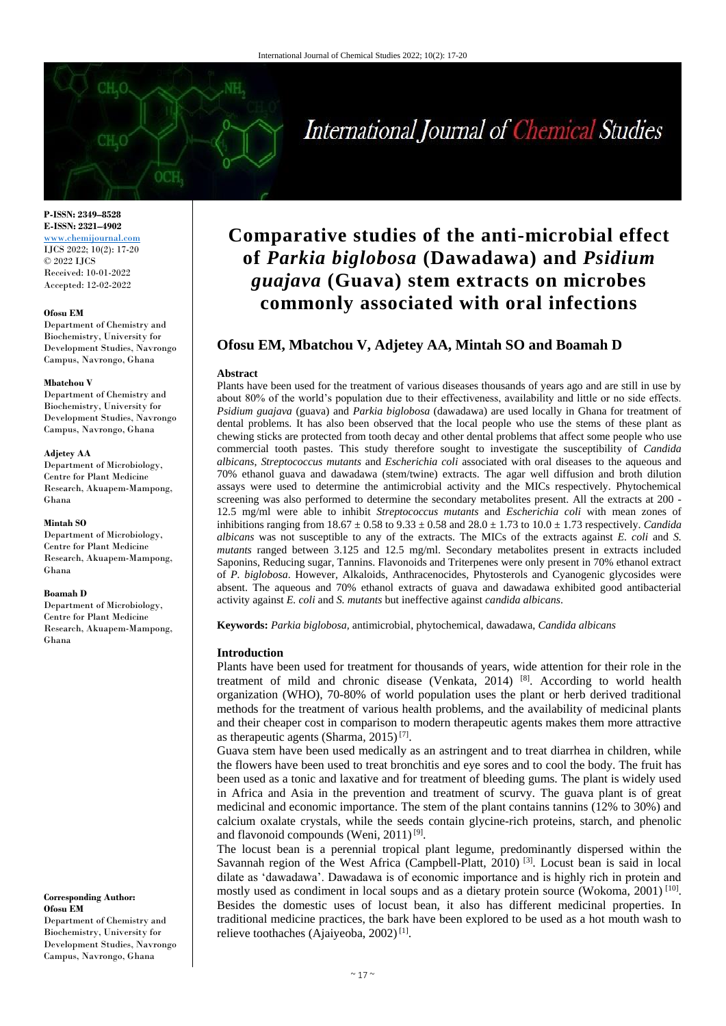# International Journal of Chemical Studies

**P-ISSN: 2349–8528 E-ISSN: 2321–4902** <www.chemijournal.com> IJCS 2022; 10(2): 17-20 © 2022 IJCS Received: 10-01-2022 Accepted: 12-02-2022

#### **Ofosu EM**

Department of Chemistry and Biochemistry, University for Development Studies, Navrongo Campus, Navrongo, Ghana

#### **Mbatchou V**

Department of Chemistry and Biochemistry, University for Development Studies, Navrongo Campus, Navrongo, Ghana

#### **Adjetey AA**

Department of Microbiology, Centre for Plant Medicine Research, Akuapem-Mampong, Ghana

#### **Mintah SO**

Department of Microbiology, Centre for Plant Medicine Research, Akuapem-Mampong, Ghana

#### **Boamah D**

Department of Microbiology, Centre for Plant Medicine Research, Akuapem-Mampong, Ghana

**Corresponding Author: Ofosu EM** Department of Chemistry and Biochemistry, University for

# Development Studies, Navrongo Campus, Navrongo, Ghana

# **Comparative studies of the anti-microbial effect of** *Parkia biglobosa* **(Dawadawa) and** *Psidium guajava* **(Guava) stem extracts on microbes commonly associated with oral infections**

# **Ofosu EM, Mbatchou V, Adjetey AA, Mintah SO and Boamah D**

#### **Abstract**

Plants have been used for the treatment of various diseases thousands of years ago and are still in use by about 80% of the world's population due to their effectiveness, availability and little or no side effects. *Psidium guajava* (guava) and *Parkia biglobosa* (dawadawa) are used locally in Ghana for treatment of dental problems. It has also been observed that the local people who use the stems of these plant as chewing sticks are protected from tooth decay and other dental problems that affect some people who use commercial tooth pastes. This study therefore sought to investigate the susceptibility of *Candida albicans*, *Streptococcus mutants* and *Escherichia coli* associated with oral diseases to the aqueous and 70% ethanol guava and dawadawa (stem/twine) extracts. The agar well diffusion and broth dilution assays were used to determine the antimicrobial activity and the MICs respectively. Phytochemical screening was also performed to determine the secondary metabolites present. All the extracts at 200 - 12.5 mg/ml were able to inhibit *Streptococcus mutants* and *Escherichia coli* with mean zones of inhibitions ranging from 18.67 ± 0.58 to 9.33 ± 0.58 and 28.0 ± 1.73 to 10.0 ± 1.73 respectively. *Candida albicans* was not susceptible to any of the extracts. The MICs of the extracts against *E. coli* and *S. mutants* ranged between 3.125 and 12.5 mg/ml. Secondary metabolites present in extracts included Saponins, Reducing sugar, Tannins. Flavonoids and Triterpenes were only present in 70% ethanol extract of *P. biglobosa*. However, Alkaloids, Anthracenocides, Phytosterols and Cyanogenic glycosides were absent. The aqueous and 70% ethanol extracts of guava and dawadawa exhibited good antibacterial activity against *E. coli* and *S. mutants* but ineffective against *candida albicans*.

**Keywords:** *Parkia biglobosa,* antimicrobial, phytochemical, dawadawa, *Candida albicans*

#### **Introduction**

Plants have been used for treatment for thousands of years, wide attention for their role in the treatment of mild and chronic disease (Venkata,  $2014$ ) <sup>[8]</sup>. According to world health organization (WHO), 70-80% of world population uses the plant or herb derived traditional methods for the treatment of various health problems, and the availability of medicinal plants and their cheaper cost in comparison to modern therapeutic agents makes them more attractive as therapeutic agents (Sharma, 2015)<sup>[7]</sup>.

Guava stem have been used medically as an astringent and to treat diarrhea in children, while the flowers have been used to treat bronchitis and eye sores and to cool the body. The fruit has been used as a tonic and laxative and for treatment of bleeding gums. The plant is widely used in Africa and Asia in the prevention and treatment of scurvy. The guava plant is of great medicinal and economic importance. The stem of the plant contains tannins (12% to 30%) and calcium oxalate crystals, while the seeds contain glycine-rich proteins, starch, and phenolic and flavonoid compounds (Weni, 2011)<sup>[9]</sup>.

The locust bean is a perennial tropical plant legume, predominantly dispersed within the Savannah region of the West Africa (Campbell-Platt, 2010)<sup>[3]</sup>. Locust bean is said in local dilate as 'dawadawa'. Dawadawa is of economic importance and is highly rich in protein and mostly used as condiment in local soups and as a dietary protein source (Wokoma,  $2001$ )<sup>[10]</sup>. Besides the domestic uses of locust bean, it also has different medicinal properties. In traditional medicine practices, the bark have been explored to be used as a hot mouth wash to relieve toothaches (Ajaiyeoba, 2002)<sup>[1]</sup>.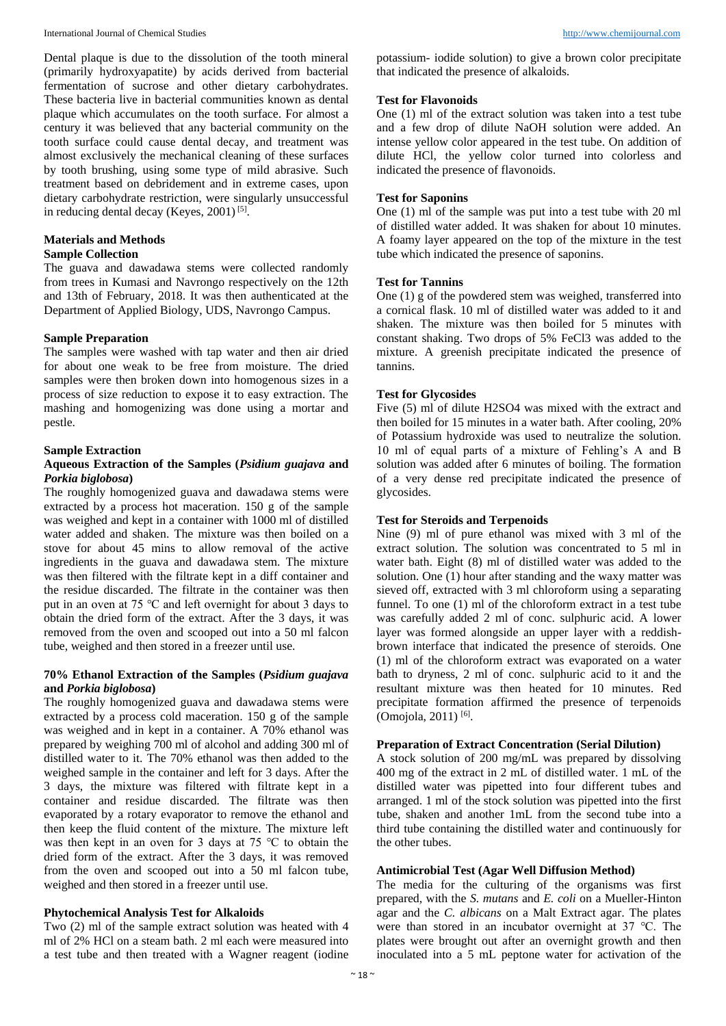Dental plaque is due to the dissolution of the tooth mineral (primarily hydroxyapatite) by acids derived from bacterial fermentation of sucrose and other dietary carbohydrates. These bacteria live in bacterial communities known as dental plaque which accumulates on the tooth surface. For almost a century it was believed that any bacterial community on the tooth surface could cause dental decay, and treatment was almost exclusively the mechanical cleaning of these surfaces by tooth brushing, using some type of mild abrasive. Such treatment based on debridement and in extreme cases, upon dietary carbohydrate restriction, were singularly unsuccessful in reducing dental decay (Keyes, 2001)<sup>[5]</sup>.

#### **Materials and Methods**

# **Sample Collection**

The guava and dawadawa stems were collected randomly from trees in Kumasi and Navrongo respectively on the 12th and 13th of February, 2018. It was then authenticated at the Department of Applied Biology, UDS, Navrongo Campus.

#### **Sample Preparation**

The samples were washed with tap water and then air dried for about one weak to be free from moisture. The dried samples were then broken down into homogenous sizes in a process of size reduction to expose it to easy extraction. The mashing and homogenizing was done using a mortar and pestle.

#### **Sample Extraction**

#### **Aqueous Extraction of the Samples (***Psidium guajava* **and**  *Porkia biglobosa***)**

The roughly homogenized guava and dawadawa stems were extracted by a process hot maceration. 150 g of the sample was weighed and kept in a container with 1000 ml of distilled water added and shaken. The mixture was then boiled on a stove for about 45 mins to allow removal of the active ingredients in the guava and dawadawa stem. The mixture was then filtered with the filtrate kept in a diff container and the residue discarded. The filtrate in the container was then put in an oven at 75 ℃ and left overnight for about 3 days to obtain the dried form of the extract. After the 3 days, it was removed from the oven and scooped out into a 50 ml falcon tube, weighed and then stored in a freezer until use.

# **70% Ethanol Extraction of the Samples (***Psidium guajava*  **and** *Porkia biglobosa***)**

The roughly homogenized guava and dawadawa stems were extracted by a process cold maceration. 150 g of the sample was weighed and in kept in a container. A 70% ethanol was prepared by weighing 700 ml of alcohol and adding 300 ml of distilled water to it. The 70% ethanol was then added to the weighed sample in the container and left for 3 days. After the 3 days, the mixture was filtered with filtrate kept in a container and residue discarded. The filtrate was then evaporated by a rotary evaporator to remove the ethanol and then keep the fluid content of the mixture. The mixture left was then kept in an oven for 3 days at 75 ℃ to obtain the dried form of the extract. After the 3 days, it was removed from the oven and scooped out into a 50 ml falcon tube, weighed and then stored in a freezer until use.

# **Phytochemical Analysis Test for Alkaloids**

Two (2) ml of the sample extract solution was heated with 4 ml of 2% HCl on a steam bath. 2 ml each were measured into a test tube and then treated with a Wagner reagent (iodine potassium- iodide solution) to give a brown color precipitate that indicated the presence of alkaloids.

# **Test for Flavonoids**

One (1) ml of the extract solution was taken into a test tube and a few drop of dilute NaOH solution were added. An intense yellow color appeared in the test tube. On addition of dilute HCl, the yellow color turned into colorless and indicated the presence of flavonoids.

# **Test for Saponins**

One (1) ml of the sample was put into a test tube with 20 ml of distilled water added. It was shaken for about 10 minutes. A foamy layer appeared on the top of the mixture in the test tube which indicated the presence of saponins.

# **Test for Tannins**

One (1) g of the powdered stem was weighed, transferred into a cornical flask. 10 ml of distilled water was added to it and shaken. The mixture was then boiled for 5 minutes with constant shaking. Two drops of 5% FeCl3 was added to the mixture. A greenish precipitate indicated the presence of tannins.

# **Test for Glycosides**

Five (5) ml of dilute H2SO4 was mixed with the extract and then boiled for 15 minutes in a water bath. After cooling, 20% of Potassium hydroxide was used to neutralize the solution. 10 ml of equal parts of a mixture of Fehling's A and B solution was added after 6 minutes of boiling. The formation of a very dense red precipitate indicated the presence of glycosides.

# **Test for Steroids and Terpenoids**

Nine (9) ml of pure ethanol was mixed with 3 ml of the extract solution. The solution was concentrated to 5 ml in water bath. Eight (8) ml of distilled water was added to the solution. One (1) hour after standing and the waxy matter was sieved off, extracted with 3 ml chloroform using a separating funnel. To one (1) ml of the chloroform extract in a test tube was carefully added 2 ml of conc. sulphuric acid. A lower layer was formed alongside an upper layer with a reddishbrown interface that indicated the presence of steroids. One (1) ml of the chloroform extract was evaporated on a water bath to dryness, 2 ml of conc. sulphuric acid to it and the resultant mixture was then heated for 10 minutes. Red precipitate formation affirmed the presence of terpenoids (Omojola, 2011)<sup>[6]</sup>.

#### **Preparation of Extract Concentration (Serial Dilution)**

A stock solution of 200 mg/mL was prepared by dissolving 400 mg of the extract in 2 mL of distilled water. 1 mL of the distilled water was pipetted into four different tubes and arranged. 1 ml of the stock solution was pipetted into the first tube, shaken and another 1mL from the second tube into a third tube containing the distilled water and continuously for the other tubes.

#### **Antimicrobial Test (Agar Well Diffusion Method)**

The media for the culturing of the organisms was first prepared, with the *S. mutans* and *E. coli* on a Mueller-Hinton agar and the *C. albicans* on a Malt Extract agar. The plates were than stored in an incubator overnight at 37 ℃. The plates were brought out after an overnight growth and then inoculated into a 5 mL peptone water for activation of the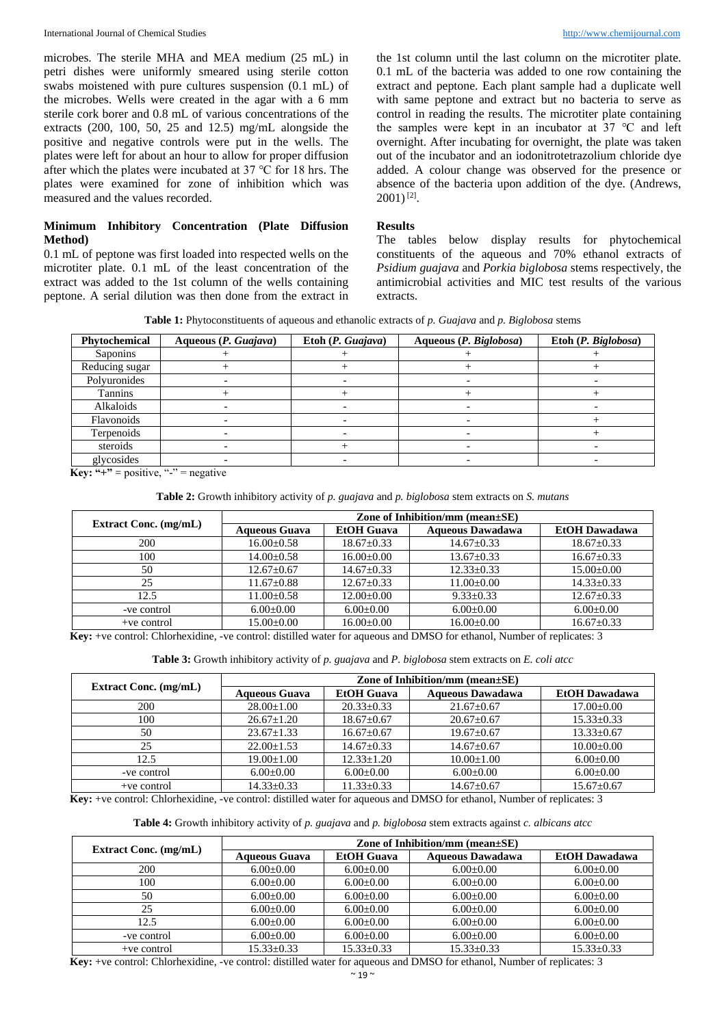microbes. The sterile MHA and MEA medium (25 mL) in petri dishes were uniformly smeared using sterile cotton swabs moistened with pure cultures suspension (0.1 mL) of the microbes. Wells were created in the agar with a 6 mm sterile cork borer and 0.8 mL of various concentrations of the extracts (200, 100, 50, 25 and 12.5) mg/mL alongside the positive and negative controls were put in the wells. The plates were left for about an hour to allow for proper diffusion after which the plates were incubated at 37 ℃ for 18 hrs. The plates were examined for zone of inhibition which was measured and the values recorded.

# **Minimum Inhibitory Concentration (Plate Diffusion Method)**

0.1 mL of peptone was first loaded into respected wells on the microtiter plate. 0.1 mL of the least concentration of the extract was added to the 1st column of the wells containing peptone. A serial dilution was then done from the extract in

the 1st column until the last column on the microtiter plate. 0.1 mL of the bacteria was added to one row containing the extract and peptone. Each plant sample had a duplicate well with same peptone and extract but no bacteria to serve as control in reading the results. The microtiter plate containing the samples were kept in an incubator at 37 ℃ and left overnight. After incubating for overnight, the plate was taken out of the incubator and an iodonitrotetrazolium chloride dye added. A colour change was observed for the presence or absence of the bacteria upon addition of the dye. (Andrews,  $2001$ <sup>[2]</sup>.

#### **Results**

The tables below display results for phytochemical constituents of the aqueous and 70% ethanol extracts of *Psidium guajava* and *Porkia biglobosa* stems respectively, the antimicrobial activities and MIC test results of the various extracts.

**Table 1:** Phytoconstituents of aqueous and ethanolic extracts of *p. Guajava* and *p. Biglobosa* stems

| Phytochemical  | Aqueous (P. Guajava) | Etoh $(P. Guajava)$ | Aqueous (P. Biglobosa) | Etoh (P. Biglobosa) |
|----------------|----------------------|---------------------|------------------------|---------------------|
| Saponins       |                      |                     |                        |                     |
| Reducing sugar |                      |                     |                        |                     |
| Polyuronides   |                      |                     |                        |                     |
| Tannins        |                      |                     |                        |                     |
| Alkaloids      |                      |                     |                        |                     |
| Flavonoids     |                      |                     |                        |                     |
| Terpenoids     |                      |                     |                        |                     |
| steroids       |                      |                     |                        |                     |
| glycosides     |                      |                     |                        |                     |

**Key:** "+" = positive, "-" = negative

#### **Table 2:** Growth inhibitory activity of *p. guajava* and *p. biglobosa* stem extracts on *S. mutans*

| <b>Extract Conc.</b> (mg/mL) | Zone of Inhibition/mm (mean $\pm$ SE) |                   |                         |                      |  |
|------------------------------|---------------------------------------|-------------------|-------------------------|----------------------|--|
|                              | <b>Aqueous Guava</b>                  | <b>EtOH</b> Guava | <b>Aqueous Dawadawa</b> | <b>EtOH</b> Dawadawa |  |
| 200                          | $16.00 \pm 0.58$                      | $18.67 \pm 0.33$  | $14.67 \pm 0.33$        | $18.67 \pm 0.33$     |  |
| 100                          | $14.00 \pm 0.58$                      | $16.00 \pm 0.00$  | $13.67 \pm 0.33$        | $16.67 \pm 0.33$     |  |
| 50                           | $12.67 \pm 0.67$                      | $14.67 \pm 0.33$  | $12.33 \pm 0.33$        | $15.00 \pm 0.00$     |  |
| 25                           | $11.67 \pm 0.88$                      | $12.67 \pm 0.33$  | $11.00 \pm 0.00$        | $14.33 \pm 0.33$     |  |
| 12.5                         | $11.00+0.58$                          | $12.00 \pm 0.00$  | $9.33+0.33$             | $12.67+0.33$         |  |
| -ve control                  | $6.00 \pm 0.00$                       | $6.00 \pm 0.00$   | $6.00 \pm 0.00$         | $6.00+0.00$          |  |
| $+ve$ control                | $15.00+0.00$                          | $16.00+0.00$      | $16.00+0.00$            | $16.67+0.33$         |  |

**Key:** +ve control: Chlorhexidine, -ve control: distilled water for aqueous and DMSO for ethanol, Number of replicates: 3

| Table 3: Growth inhibitory activity of p. guajava and P. biglobosa stem extracts on E. coli atcc |  |  |  |  |
|--------------------------------------------------------------------------------------------------|--|--|--|--|
|--------------------------------------------------------------------------------------------------|--|--|--|--|

| <b>Extract Conc.</b> (mg/mL) | Zone of Inhibition/mm (mean $\pm$ SE) |                   |                         |                      |  |
|------------------------------|---------------------------------------|-------------------|-------------------------|----------------------|--|
|                              | <b>Aqueous Guava</b>                  | <b>EtOH</b> Guava | <b>Aqueous Dawadawa</b> | <b>EtOH</b> Dawadawa |  |
| 200                          | $28.00 \pm 1.00$                      | $20.33 \pm 0.33$  | $21.67 \pm 0.67$        | $17.00 \pm 0.00$     |  |
| 100                          | $26.67 \pm 1.20$                      | $18.67 \pm 0.67$  | $20.67 \pm 0.67$        | $15.33 \pm 0.33$     |  |
| 50                           | $23.67 \pm 1.33$                      | $16.67 \pm 0.67$  | $19.67 \pm 0.67$        | $13.33 \pm 0.67$     |  |
| 25                           | $22.00+1.53$                          | $14.67 \pm 0.33$  | $14.67 \pm 0.67$        | $10.00 \pm 0.00$     |  |
| 12.5                         | $19.00 \pm 1.00$                      | $12.33 \pm 1.20$  | $10.00 \pm 1.00$        | $6.00 \pm 0.00$      |  |
| -ve control                  | $6.00 \pm 0.00$                       | $6.00 \pm 0.00$   | $6.00 \pm 0.00$         | $6.00 \pm 0.00$      |  |
| $+ve$ control                | $14.33 \pm 0.33$                      | $11.33 \pm 0.33$  | $14.67 \pm 0.67$        | $15.67 \pm 0.67$     |  |

**Key:** +ve control: Chlorhexidine, -ve control: distilled water for aqueous and DMSO for ethanol, Number of replicates: 3

#### **Table 4:** Growth inhibitory activity of *p. guajava* and *p. biglobosa* stem extracts against *c. albicans atcc*

| <b>Extract Conc.</b> (mg/mL) | Zone of Inhibition/mm (mean $\pm$ SE) |                   |                         |                      |  |
|------------------------------|---------------------------------------|-------------------|-------------------------|----------------------|--|
|                              | <b>Aqueous Guava</b>                  | <b>EtOH</b> Guava | <b>Aqueous Dawadawa</b> | <b>EtOH</b> Dawadawa |  |
| 200                          | $6.00 \pm 0.00$                       | $6.00 \pm 0.00$   | $6.00 \pm 0.00$         | $6.00 \pm 0.00$      |  |
| 100                          | $6.00 \pm 0.00$                       | $6.00 \pm 0.00$   | $6.00+0.00$             | $6.00+0.00$          |  |
| 50                           | $6.00 \pm 0.00$                       | $6.00+0.00$       | $6.00+0.00$             | $6.00+0.00$          |  |
| 25                           | $6.00 \pm 0.00$                       | $6.00+0.00$       | $6.00+0.00$             | $6.00+0.00$          |  |
| 12.5                         | $6.00+0.00$                           | $6.00+0.00$       | $6.00 \pm 0.00$         | $6.00+0.00$          |  |
| -ve control                  | $6.00 \pm 0.00$                       | $6.00+0.00$       | $6.00 \pm 0.00$         | $6.00+0.00$          |  |
| $+ve$ control                | $15.33 \pm 0.33$                      | $15.33 \pm 0.33$  | $15.33+0.33$            | $15.33 \pm 0.33$     |  |

**Key:** +ve control: Chlorhexidine, -ve control: distilled water for aqueous and DMSO for ethanol, Number of replicates: 3